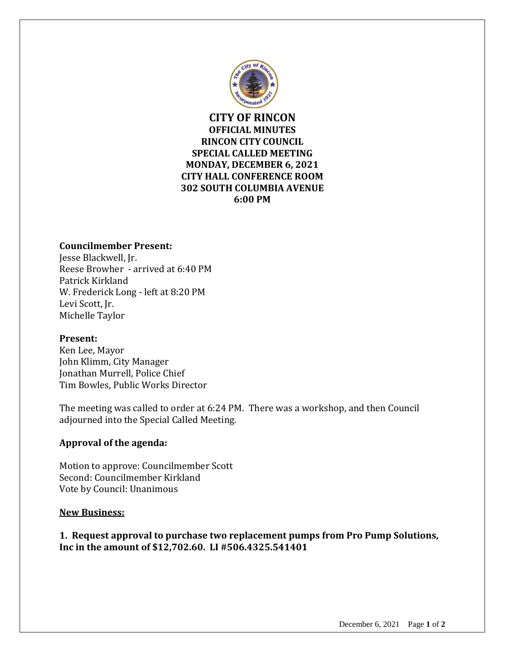

**CITY OF RINCON OFFICIAL MINUTES RINCON CITY COUNCIL SPECIAL CALLED MEETING MONDAY, DECEMBER 6, 2021 CITY HALL CONFERENCE ROOM 302 SOUTH COLUMBIA AVENUE 6:00 PM**

# **Councilmember Present:**

Jesse Blackwell, Jr. Reese Browher - arrived at 6:40 PM Patrick Kirkland W. Frederick Long - left at 8:20 PM Levi Scott, Jr. Michelle Taylor

### **Present:**

Ken Lee, Mayor John Klimm, City Manager Jonathan Murrell, Police Chief Tim Bowles, Public Works Director

The meeting was called to order at 6:24 PM. There was a workshop, and then Council adjourned into the Special Called Meeting.

## **Approval of the agenda:**

Motion to approve: Councilmember Scott Second: Councilmember Kirkland Vote by Council: Unanimous

### **New Business:**

**1. Request approval to purchase two replacement pumps from Pro Pump Solutions, Inc in the amount of \$12,702.60. LI #506.4325.541401**